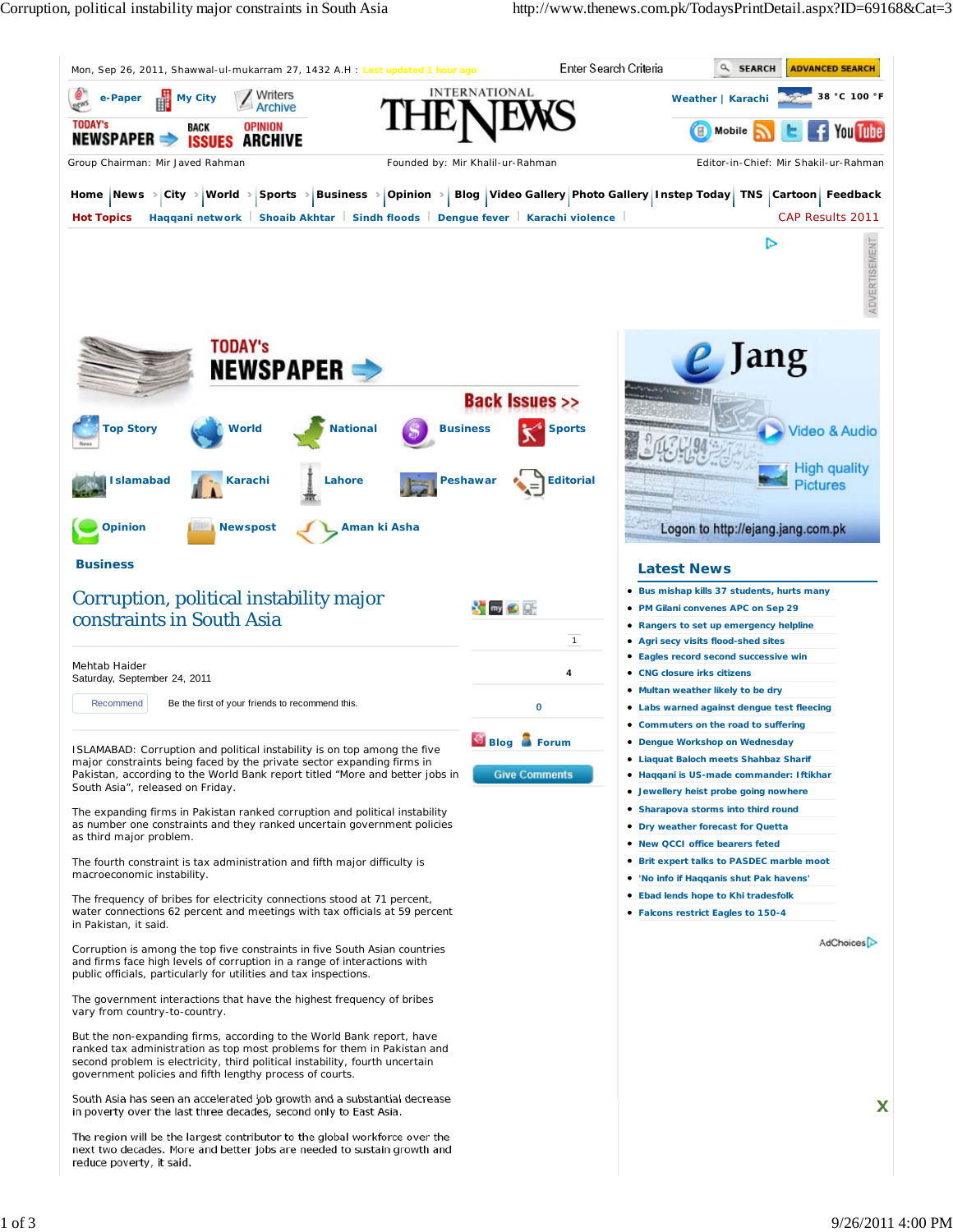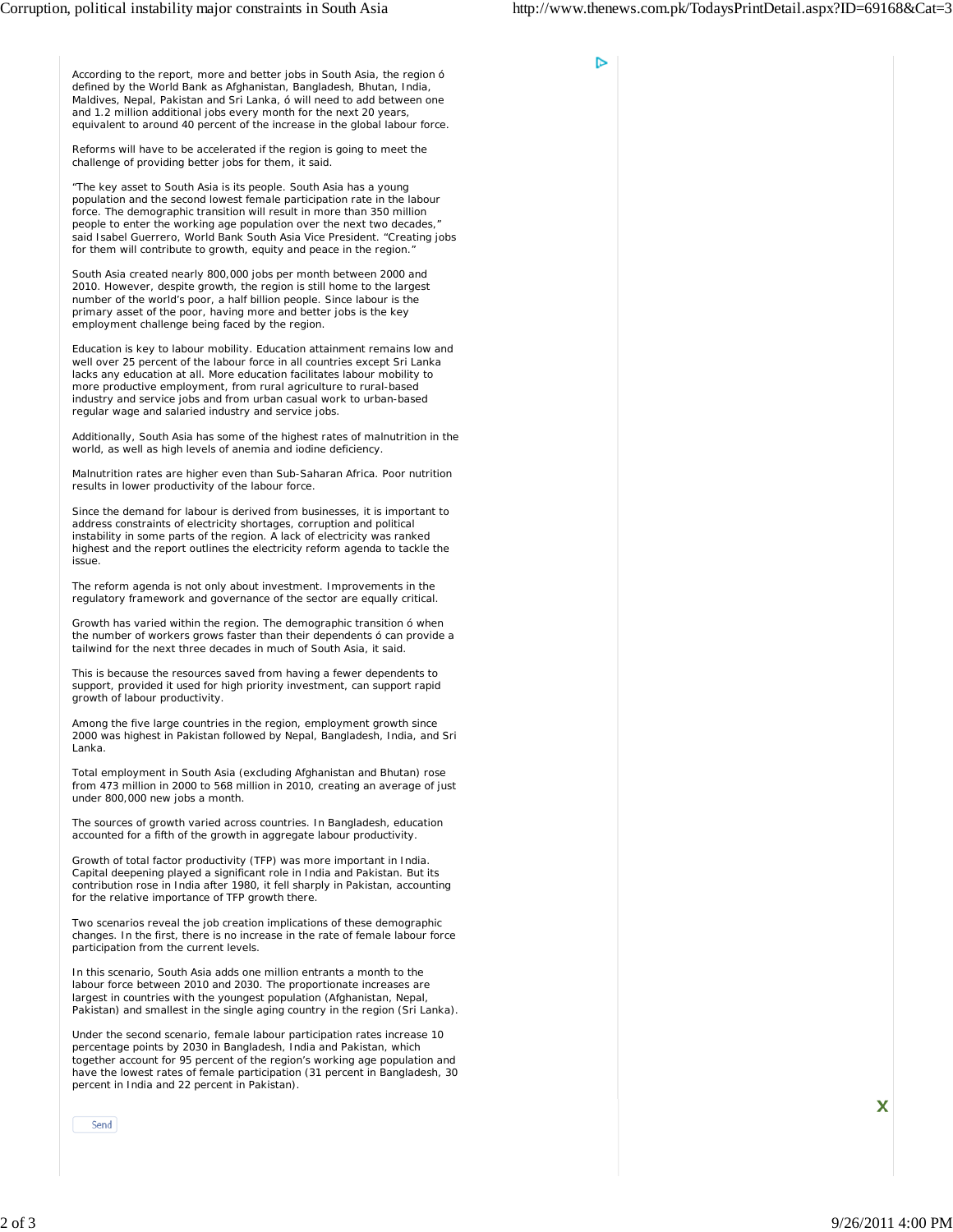D

According to the report, more and better jobs in South Asia, the region ó defined by the World Bank as Afghanistan, Bangladesh, Bhutan, India, Maldives, Nepal, Pakistan and Sri Lanka, ó will need to add between one and 1.2 million additional jobs every month for the next 20 years, equivalent to around 40 percent of the increase in the global labour force.

Reforms will have to be accelerated if the region is going to meet the challenge of providing better jobs for them, it said.

"The key asset to South Asia is its people. South Asia has a young population and the second lowest female participation rate in the labour force. The demographic transition will result in more than 350 million people to enter the working age population over the next two decades, said Isabel Guerrero, World Bank South Asia Vice President. "Creating jobs for them will contribute to growth, equity and peace in the region."

South Asia created nearly 800,000 jobs per month between 2000 and 2010. However, despite growth, the region is still home to the largest number of the world's poor, a half billion people. Since labour is the primary asset of the poor, having more and better jobs is the key employment challenge being faced by the region.

Education is key to labour mobility. Education attainment remains low and well over 25 percent of the labour force in all countries except Sri Lanka lacks any education at all. More education facilitates labour mobility to more productive employment, from rural agriculture to rural-based industry and service jobs and from urban casual work to urban-based regular wage and salaried industry and service jobs.

Additionally, South Asia has some of the highest rates of malnutrition in the world, as well as high levels of anemia and iodine deficiency.

Malnutrition rates are higher even than Sub-Saharan Africa. Poor nutrition results in lower productivity of the labour force.

Since the demand for labour is derived from businesses, it is important to address constraints of electricity shortages, corruption and political instability in some parts of the region. A lack of electricity was ranked highest and the report outlines the electricity reform agenda to tackle the issue.

The reform agenda is not only about investment. Improvements in the regulatory framework and governance of the sector are equally critical.

Growth has varied within the region. The demographic transition ó when the number of workers grows faster than their dependents ó can provide a tailwind for the next three decades in much of South Asia, it said

This is because the resources saved from having a fewer dependents to support, provided it used for high priority investment, can support rapid growth of labour productivity.

Among the five large countries in the region, employment growth since 2000 was highest in Pakistan followed by Nepal, Bangladesh, India, and Sri Lanka.

Total employment in South Asia (excluding Afghanistan and Bhutan) rose from 473 million in 2000 to 568 million in 2010, creating an average of just under 800,000 new jobs a month.

The sources of growth varied across countries. In Bangladesh, education accounted for a fifth of the growth in aggregate labour productivity.

Growth of total factor productivity (TFP) was more important in India. Capital deepening played a significant role in India and Pakistan. But its contribution rose in India after 1980, it fell sharply in Pakistan, accounting for the relative importance of TFP growth there.

Two scenarios reveal the job creation implications of these demographic changes. In the first, there is no increase in the rate of female labour force participation from the current levels.

In this scenario, South Asia adds one million entrants a month to the labour force between 2010 and 2030. The proportionate increases are largest in countries with the youngest population (Afghanistan, Nepal, Pakistan) and smallest in the single aging country in the region (Sri Lanka).

Under the second scenario, female labour participation rates increase 10 percentage points by 2030 in Bangladesh, India and Pakistan, which together account for 95 percent of the region's working age population and have the lowest rates of female participation (31 percent in Bangladesh, 30 percent in India and 22 percent in Pakistan).

Send

X